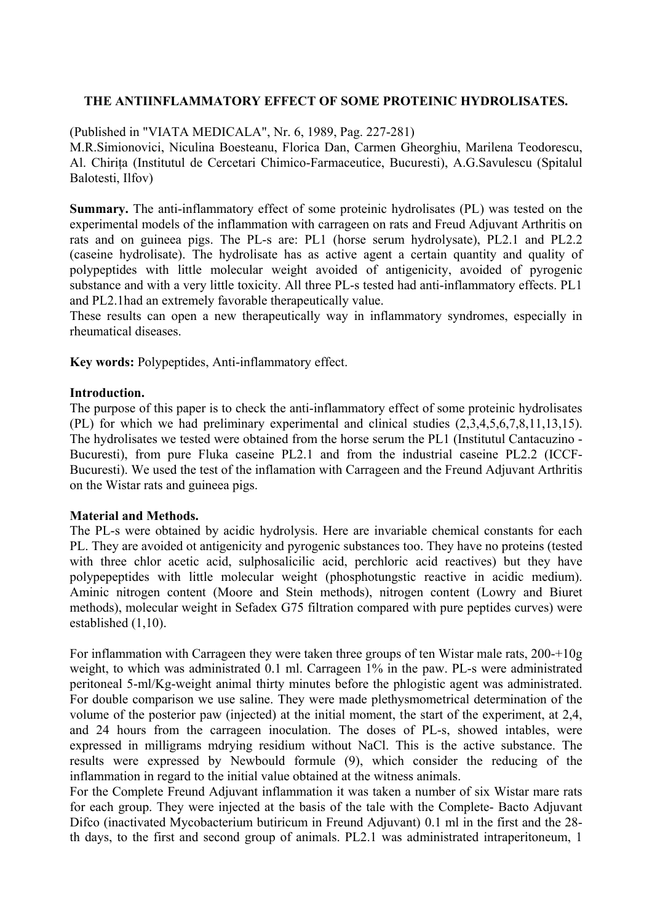## **THE ANTIINFLAMMATORY EFFECT OF SOME PROTEINIC HYDROLISATES.**

(Published in "VIATA MEDICALA", Nr. 6, 1989, Pag. 227-281)

M.R.Simionovici, Niculina Boesteanu, Florica Dan, Carmen Gheorghiu, Marilena Teodorescu, Al. Chirita (Institutul de Cercetari Chimico-Farmaceutice, Bucuresti), A.G.Savulescu (Spitalul Balotesti, Ilfov)

**Summary.** The anti-inflammatory effect of some proteinic hydrolisates (PL) was tested on the experimental models of the inflammation with carrageen on rats and Freud Adjuvant Arthritis on rats and on guineea pigs. The PL-s are: PL1 (horse serum hydrolysate), PL2.1 and PL2.2 (caseine hydrolisate). The hydrolisate has as active agent a certain quantity and quality of polypeptides with little molecular weight avoided of antigenicity, avoided of pyrogenic substance and with a very little toxicity. All three PL-s tested had anti-inflammatory effects. PL1 and PL2.1had an extremely favorable therapeutically value.

These results can open a new therapeutically way in inflammatory syndromes, especially in rheumatical diseases.

**Key words:** Polypeptides, Anti-inflammatory effect.

## **Introduction.**

The purpose of this paper is to check the anti-inflammatory effect of some proteinic hydrolisates (PL) for which we had preliminary experimental and clinical studies (2,3,4,5,6,7,8,11,13,15). The hydrolisates we tested were obtained from the horse serum the PL1 (Institutul Cantacuzino - Bucuresti), from pure Fluka caseine PL2.1 and from the industrial caseine PL2.2 (ICCF-Bucuresti). We used the test of the inflamation with Carrageen and the Freund Adjuvant Arthritis on the Wistar rats and guineea pigs.

## **Material and Methods.**

The PL-s were obtained by acidic hydrolysis. Here are invariable chemical constants for each PL. They are avoided ot antigenicity and pyrogenic substances too. They have no proteins (tested with three chlor acetic acid, sulphosalicilic acid, perchloric acid reactives) but they have polypepeptides with little molecular weight (phosphotungstic reactive in acidic medium). Aminic nitrogen content (Moore and Stein methods), nitrogen content (Lowry and Biuret methods), molecular weight in Sefadex G75 filtration compared with pure peptides curves) were established (1,10).

For inflammation with Carrageen they were taken three groups of ten Wistar male rats, 200-+10g weight, to which was administrated 0.1 ml. Carrageen 1% in the paw. PL-s were administrated peritoneal 5-ml/Kg-weight animal thirty minutes before the phlogistic agent was administrated. For double comparison we use saline. They were made plethysmometrical determination of the volume of the posterior paw (injected) at the initial moment, the start of the experiment, at 2,4, and 24 hours from the carrageen inoculation. The doses of PL-s, showed intables, were expressed in milligrams mdrying residium without NaCl. This is the active substance. The results were expressed by Newbould formule (9), which consider the reducing of the inflammation in regard to the initial value obtained at the witness animals.

For the Complete Freund Adjuvant inflammation it was taken a number of six Wistar mare rats for each group. They were injected at the basis of the tale with the Complete- Bacto Adjuvant Difco (inactivated Mycobacterium butiricum in Freund Adjuvant) 0.1 ml in the first and the 28 th days, to the first and second group of animals. PL2.1 was administrated intraperitoneum, 1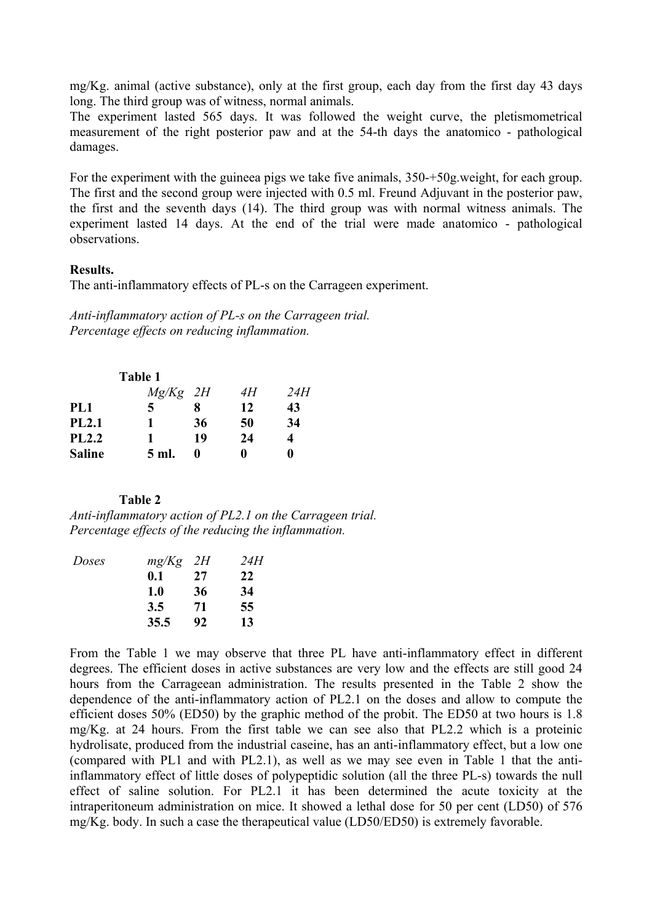mg/Kg. animal (active substance), only at the first group, each day from the first day 43 days long. The third group was of witness, normal animals.

The experiment lasted 565 days. It was followed the weight curve, the pletismometrical measurement of the right posterior paw and at the 54-th days the anatomico - pathological damages.

For the experiment with the guineea pigs we take five animals, 350-+50g.weight, for each group. The first and the second group were injected with 0.5 ml. Freund Adjuvant in the posterior paw, the first and the seventh days (14). The third group was with normal witness animals. The experiment lasted 14 days. At the end of the trial were made anatomico - pathological observations.

# **Results.**

The anti-inflammatory effects of PL-s on the Carrageen experiment.

*Anti-inflammatory action of PL-s on the Carrageen trial. Percentage effects on reducing inflammation.* 

|               | Table 1    |    |    |     |
|---------------|------------|----|----|-----|
|               | $Mg/Kg$ 2H |    | 4H | 24H |
| PL1           | 5          |    | 12 | 43  |
| <b>PL2.1</b>  | 1.         | 36 | 50 | 34  |
| <b>PL2.2</b>  | 1.         | 19 | 24 | 4   |
| <b>Saline</b> | 5 ml.      |    |    | o   |

 **Table 2** 

*Anti-inflammatory action of PL2.1 on the Carrageen trial. Percentage effects of the reducing the inflammation.* 

|      | 2H | 24H   |
|------|----|-------|
| 0.1  | 27 | 22    |
| 1.0  | 36 | 34    |
| 3.5  | 71 | 55    |
| 35.5 | 92 | 13    |
|      |    | mg/Kg |

From the Table 1 we may observe that three PL have anti-inflammatory effect in different degrees. The efficient doses in active substances are very low and the effects are still good 24 hours from the Carrageean administration. The results presented in the Table 2 show the dependence of the anti-inflammatory action of PL2.1 on the doses and allow to compute the efficient doses 50% (ED50) by the graphic method of the probit. The ED50 at two hours is 1.8 mg/Kg. at 24 hours. From the first table we can see also that PL2.2 which is a proteinic hydrolisate, produced from the industrial caseine, has an anti-inflammatory effect, but a low one (compared with PL1 and with PL2.1), as well as we may see even in Table 1 that the antiinflammatory effect of little doses of polypeptidic solution (all the three PL-s) towards the null effect of saline solution. For PL2.1 it has been determined the acute toxicity at the intraperitoneum administration on mice. It showed a lethal dose for 50 per cent (LD50) of 576 mg/Kg. body. In such a case the therapeutical value (LD50/ED50) is extremely favorable.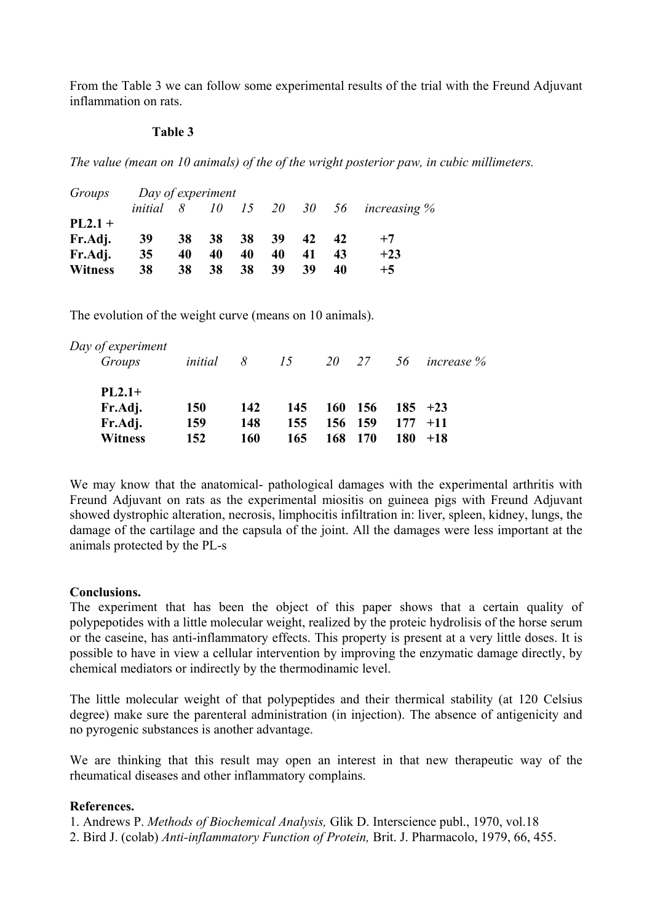From the Table 3 we can follow some experimental results of the trial with the Freund Adjuvant inflammation on rats.

### **Table 3**

*The value (mean on 10 animals) of the of the wright posterior paw, in cubic millimeters.* 

| Groups         |           | Day of experiment |          |    |    |    |    |                             |
|----------------|-----------|-------------------|----------|----|----|----|----|-----------------------------|
|                | initial 8 |                   | $10^{-}$ |    |    |    |    | 15 20 30 56 increasing $\%$ |
| $PL2.1 +$      |           |                   |          |    |    |    |    |                             |
| Fr.Adj.        | 39        | 38                | 38       | 38 | 39 | 42 | 42 | $+7$                        |
| Fr.Adj.        | 35        | 40                | 40       | 40 | 40 | 41 | 43 | $+23$                       |
| <b>Witness</b> | 38        | 38                | 38       | 38 | 39 | 39 | 40 | $+5$                        |

The evolution of the weight curve (means on 10 animals).

| increase % |
|------------|
|            |
|            |
|            |
|            |
|            |

We may know that the anatomical- pathological damages with the experimental arthritis with Freund Adjuvant on rats as the experimental miositis on guineea pigs with Freund Adjuvant showed dystrophic alteration, necrosis, limphocitis infiltration in: liver, spleen, kidney, lungs, the damage of the cartilage and the capsula of the joint. All the damages were less important at the animals protected by the PL-s

## **Conclusions.**

The experiment that has been the object of this paper shows that a certain quality of polypepotides with a little molecular weight, realized by the proteic hydrolisis of the horse serum or the caseine, has anti-inflammatory effects. This property is present at a very little doses. It is possible to have in view a cellular intervention by improving the enzymatic damage directly, by chemical mediators or indirectly by the thermodinamic level.

The little molecular weight of that polypeptides and their thermical stability (at 120 Celsius degree) make sure the parenteral administration (in injection). The absence of antigenicity and no pyrogenic substances is another advantage.

We are thinking that this result may open an interest in that new therapeutic way of the rheumatical diseases and other inflammatory complains.

## **References.**

- 1. Andrews P. *Methods of Biochemical Analysis,* Glik D. Interscience publ., 1970, vol.18
- 2. Bird J. (colab) *Anti-inflammatory Function of Protein,* Brit. J. Pharmacolo, 1979, 66, 455.